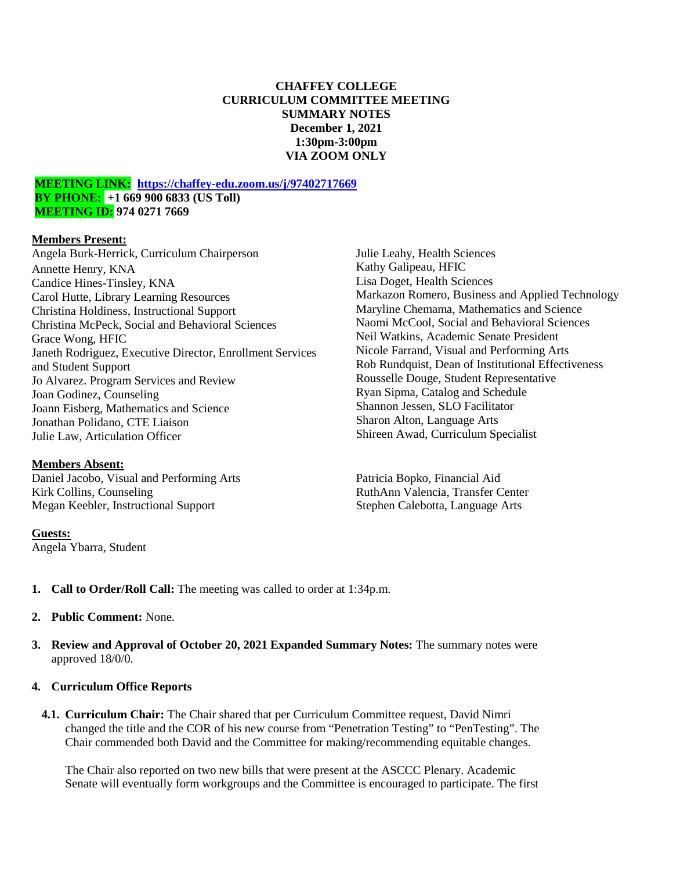# **CHAFFEY COLLEGE CURRICULUM COMMITTEE MEETING SUMMARY NOTES December 1, 2021 1:30pm-3:00pm VIA ZOOM ONLY**

### **MEETING LINK: <https://chaffey-edu.zoom.us/j/97402717669> BY PHONE: +1 669 900 6833 (US Toll) MEETING ID: 974 0271 7669**

# **Members Present:**

Angela Burk-Herrick, Curriculum Chairperson Annette Henry, KNA Candice Hines-Tinsley, KNA Carol Hutte, Library Learning Resources Christina Holdiness, Instructional Support Christina McPeck, Social and Behavioral Sciences Grace Wong, HFIC Janeth Rodriguez, Executive Director, Enrollment Services and Student Support Jo Alvarez. Program Services and Review Joan Godinez, Counseling Joann Eisberg, Mathematics and Science Jonathan Polidano, CTE Liaison Julie Law, Articulation Officer

#### **Members Absent:**

Daniel Jacobo, Visual and Performing Arts Kirk Collins, Counseling Megan Keebler, Instructional Support

#### **Guests:**

Angela Ybarra, Student

Julie Leahy, Health Sciences Kathy Galipeau, HFIC Lisa Doget, Health Sciences Markazon Romero, Business and Applied Technology Maryline Chemama, Mathematics and Science Naomi McCool, Social and Behavioral Sciences Neil Watkins, Academic Senate President Nicole Farrand, Visual and Performing Arts Rob Rundquist, Dean of Institutional Effectiveness Rousselle Douge, Student Representative Ryan Sipma, Catalog and Schedule Shannon Jessen, SLO Facilitator Sharon Alton, Language Arts Shireen Awad, Curriculum Specialist

Patricia Bopko, Financial Aid RuthAnn Valencia, Transfer Center Stephen Calebotta, Language Arts

- **1. Call to Order/Roll Call:** The meeting was called to order at 1:34p.m.
- **2. Public Comment:** None.
- **3. Review and Approval of October 20, 2021 Expanded Summary Notes:** The summary notes were approved 18/0/0.
- **4. Curriculum Office Reports**
	- **4.1. Curriculum Chair:** The Chair shared that per Curriculum Committee request, David Nimri changed the title and the COR of his new course from "Penetration Testing" to "PenTesting". The Chair commended both David and the Committee for making/recommending equitable changes.

The Chair also reported on two new bills that were present at the ASCCC Plenary. Academic Senate will eventually form workgroups and the Committee is encouraged to participate. The first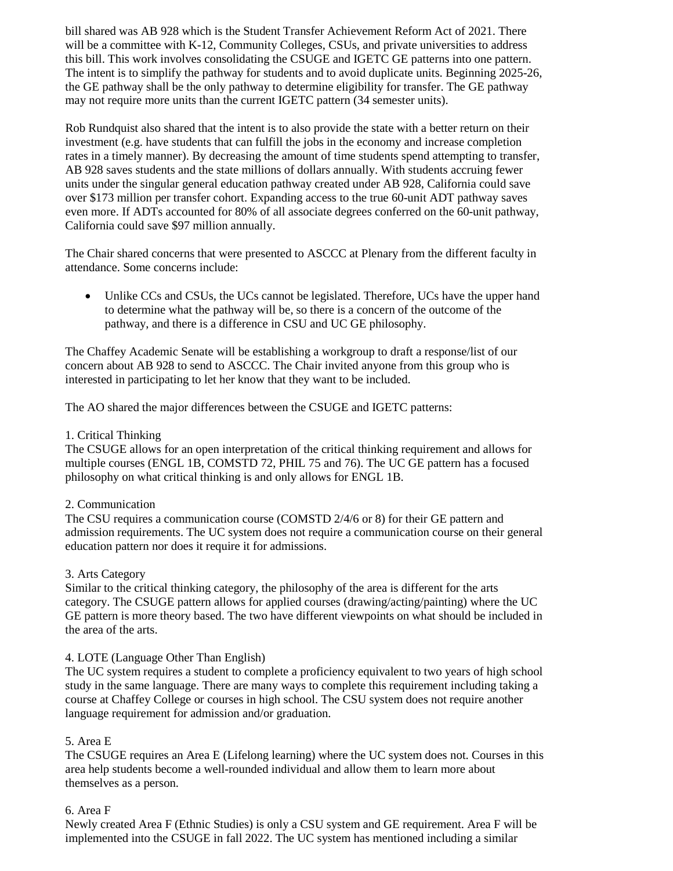bill shared was AB 928 which is the Student Transfer Achievement Reform Act of 2021. There will be a committee with K-12, Community Colleges, CSUs, and private universities to address this bill. This work involves consolidating the CSUGE and IGETC GE patterns into one pattern. The intent is to simplify the pathway for students and to avoid duplicate units. Beginning 2025-26, the GE pathway shall be the only pathway to determine eligibility for transfer. The GE pathway may not require more units than the current IGETC pattern (34 semester units).

Rob Rundquist also shared that the intent is to also provide the state with a better return on their investment (e.g. have students that can fulfill the jobs in the economy and increase completion rates in a timely manner). By decreasing the amount of time students spend attempting to transfer, AB 928 saves students and the state millions of dollars annually. With students accruing fewer units under the singular general education pathway created under AB 928, California could save over \$173 million per transfer cohort. Expanding access to the true 60-unit ADT pathway saves even more. If ADTs accounted for 80% of all associate degrees conferred on the 60-unit pathway, California could save \$97 million annually.

The Chair shared concerns that were presented to ASCCC at Plenary from the different faculty in attendance. Some concerns include:

• Unlike CCs and CSUs, the UCs cannot be legislated. Therefore, UCs have the upper hand to determine what the pathway will be, so there is a concern of the outcome of the pathway, and there is a difference in CSU and UC GE philosophy.

The Chaffey Academic Senate will be establishing a workgroup to draft a response/list of our concern about AB 928 to send to ASCCC. The Chair invited anyone from this group who is interested in participating to let her know that they want to be included.

The AO shared the major differences between the CSUGE and IGETC patterns:

# 1. Critical Thinking

The CSUGE allows for an open interpretation of the critical thinking requirement and allows for multiple courses (ENGL 1B, COMSTD 72, PHIL 75 and 76). The UC GE pattern has a focused philosophy on what critical thinking is and only allows for ENGL 1B.

# 2. Communication

The CSU requires a communication course (COMSTD 2/4/6 or 8) for their GE pattern and admission requirements. The UC system does not require a communication course on their general education pattern nor does it require it for admissions.

# 3. Arts Category

Similar to the critical thinking category, the philosophy of the area is different for the arts category. The CSUGE pattern allows for applied courses (drawing/acting/painting) where the UC GE pattern is more theory based. The two have different viewpoints on what should be included in the area of the arts.

# 4. LOTE (Language Other Than English)

The UC system requires a student to complete a proficiency equivalent to two years of high school study in the same language. There are many ways to complete this requirement including taking a course at Chaffey College or courses in high school. The CSU system does not require another language requirement for admission and/or graduation.

# 5. Area E

The CSUGE requires an Area E (Lifelong learning) where the UC system does not. Courses in this area help students become a well-rounded individual and allow them to learn more about themselves as a person.

# 6. Area F

Newly created Area F (Ethnic Studies) is only a CSU system and GE requirement. Area F will be implemented into the CSUGE in fall 2022. The UC system has mentioned including a similar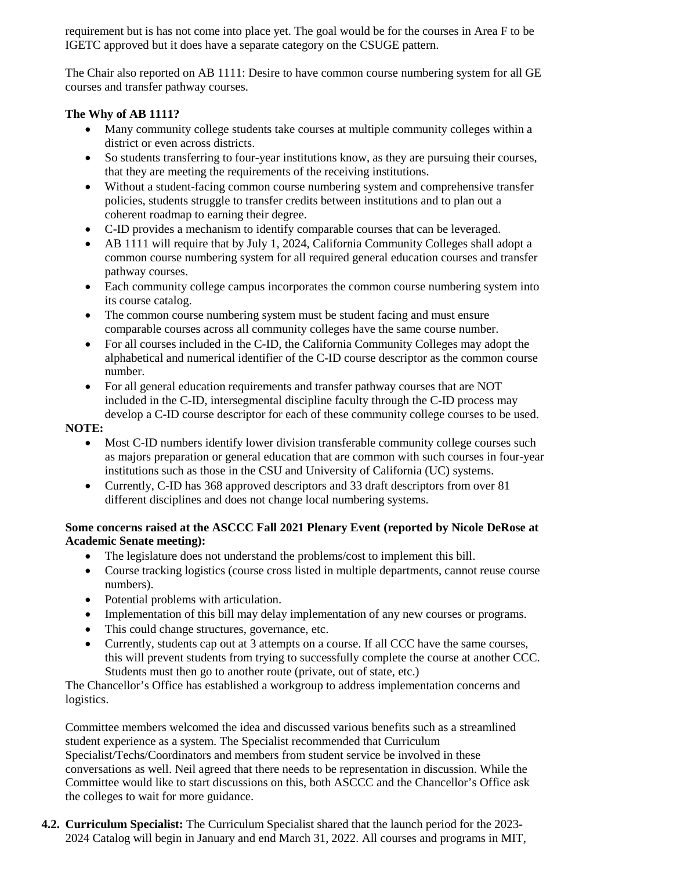requirement but is has not come into place yet. The goal would be for the courses in Area F to be IGETC approved but it does have a separate category on the CSUGE pattern.

The Chair also reported on AB 1111: Desire to have common course numbering system for all GE courses and transfer pathway courses.

# **The Why of AB 1111?**

- Many community college students take courses at multiple community colleges within a district or even across districts.
- So students transferring to four-year institutions know, as they are pursuing their courses, that they are meeting the requirements of the receiving institutions.
- Without a student-facing common course numbering system and comprehensive transfer policies, students struggle to transfer credits between institutions and to plan out a coherent roadmap to earning their degree.
- C-ID provides a mechanism to identify comparable courses that can be leveraged.
- AB 1111 will require that by July 1, 2024, California Community Colleges shall adopt a common course numbering system for all required general education courses and transfer pathway courses.
- Each community college campus incorporates the common course numbering system into its course catalog.
- The common course numbering system must be student facing and must ensure comparable courses across all community colleges have the same course number.
- For all courses included in the C-ID, the California Community Colleges may adopt the alphabetical and numerical identifier of the C-ID course descriptor as the common course number.
- For all general education requirements and transfer pathway courses that are NOT included in the C-ID, intersegmental discipline faculty through the C-ID process may develop a C-ID course descriptor for each of these community college courses to be used.

# **NOTE:**

- Most C-ID numbers identify lower division transferable community college courses such as majors preparation or general education that are common with such courses in four-year institutions such as those in the CSU and University of California (UC) systems.
- Currently, C-ID has 368 approved descriptors and 33 draft descriptors from over 81 different disciplines and does not change local numbering systems.

# **Some concerns raised at the ASCCC Fall 2021 Plenary Event (reported by Nicole DeRose at Academic Senate meeting):**

- The legislature does not understand the problems/cost to implement this bill.
- Course tracking logistics (course cross listed in multiple departments, cannot reuse course numbers).
- Potential problems with articulation.
- Implementation of this bill may delay implementation of any new courses or programs.
- This could change structures, governance, etc.
- Currently, students cap out at 3 attempts on a course. If all CCC have the same courses, this will prevent students from trying to successfully complete the course at another CCC. Students must then go to another route (private, out of state, etc.)

The Chancellor's Office has established a workgroup to address implementation concerns and logistics.

Committee members welcomed the idea and discussed various benefits such as a streamlined student experience as a system. The Specialist recommended that Curriculum Specialist/Techs/Coordinators and members from student service be involved in these conversations as well. Neil agreed that there needs to be representation in discussion. While the Committee would like to start discussions on this, both ASCCC and the Chancellor's Office ask the colleges to wait for more guidance.

**4.2. Curriculum Specialist:** The Curriculum Specialist shared that the launch period for the 2023- 2024 Catalog will begin in January and end March 31, 2022. All courses and programs in MIT,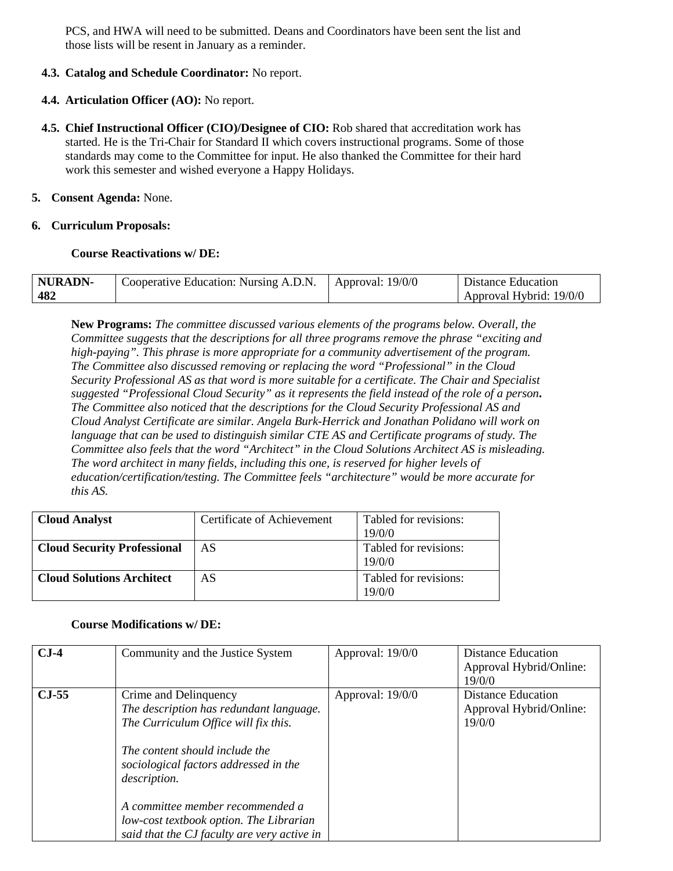PCS, and HWA will need to be submitted. Deans and Coordinators have been sent the list and those lists will be resent in January as a reminder.

# **4.3. Catalog and Schedule Coordinator:** No report.

### **4.4. Articulation Officer (AO):** No report.

**4.5. Chief Instructional Officer (CIO)/Designee of CIO:** Rob shared that accreditation work has started. He is the Tri-Chair for Standard II which covers instructional programs. Some of those standards may come to the Committee for input. He also thanked the Committee for their hard work this semester and wished everyone a Happy Holidays.

### **5. Consent Agenda:** None.

### **6. Curriculum Proposals:**

### **Course Reactivations w/ DE:**

| NURADN- | Cooperative Education: Nursing A.D.N.   Approval: 19/0/0 | Distance Education      |
|---------|----------------------------------------------------------|-------------------------|
| 482     |                                                          | Approval Hybrid: 19/0/0 |

**New Programs:** *The committee discussed various elements of the programs below. Overall, the Committee suggests that the descriptions for all three programs remove the phrase "exciting and high-paying". This phrase is more appropriate for a community advertisement of the program. The Committee also discussed removing or replacing the word "Professional" in the Cloud Security Professional AS as that word is more suitable for a certificate. The Chair and Specialist suggested "Professional Cloud Security" as it represents the field instead of the role of a person***.**  *The Committee also noticed that the descriptions for the Cloud Security Professional AS and Cloud Analyst Certificate are similar. Angela Burk-Herrick and Jonathan Polidano will work on language that can be used to distinguish similar CTE AS and Certificate programs of study. The Committee also feels that the word "Architect" in the Cloud Solutions Architect AS is misleading. The word architect in many fields, including this one, is reserved for higher levels of education/certification/testing. The Committee feels "architecture" would be more accurate for this AS.*

| <b>Cloud Analyst</b>               | Certificate of Achievement | Tabled for revisions:<br>19/0/0 |
|------------------------------------|----------------------------|---------------------------------|
| <b>Cloud Security Professional</b> | AS                         | Tabled for revisions:<br>19/0/0 |
| <b>Cloud Solutions Architect</b>   | AS                         | Tabled for revisions:<br>19/0/0 |

#### **Course Modifications w/ DE:**

| $CJ-4$  | Community and the Justice System                                                                                           | Approval: 19/0/0 | Distance Education      |
|---------|----------------------------------------------------------------------------------------------------------------------------|------------------|-------------------------|
|         |                                                                                                                            |                  | Approval Hybrid/Online: |
|         |                                                                                                                            |                  | 19/0/0                  |
| $CJ-55$ | Crime and Delinquency                                                                                                      | Approval: 19/0/0 | Distance Education      |
|         | The description has redundant language.                                                                                    |                  | Approval Hybrid/Online: |
|         | The Curriculum Office will fix this.                                                                                       |                  | 19/0/0                  |
|         | The content should include the<br>sociological factors addressed in the<br><i>description.</i>                             |                  |                         |
|         | A committee member recommended a<br>low-cost textbook option. The Librarian<br>said that the CJ faculty are very active in |                  |                         |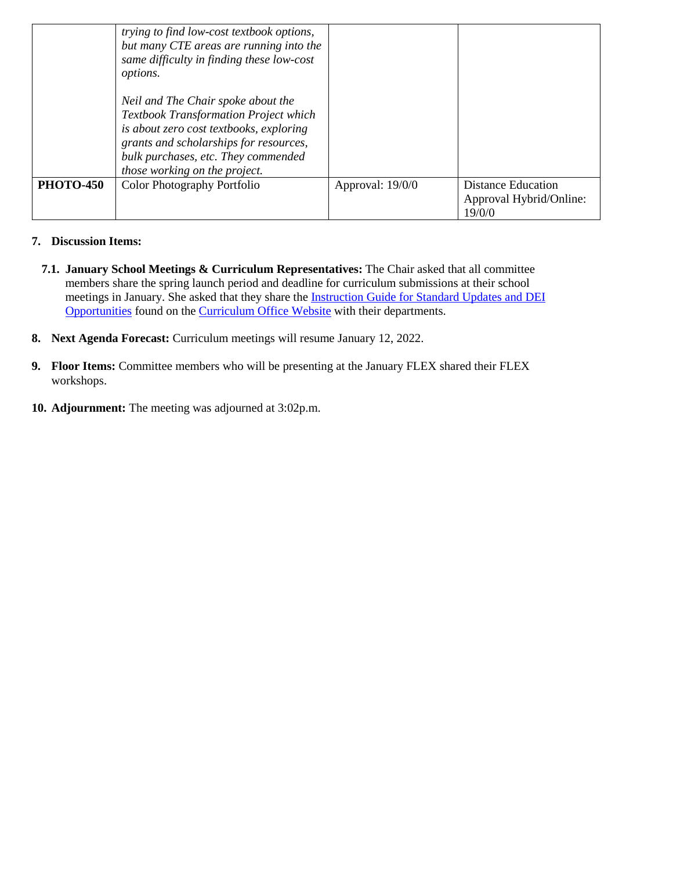|                  | trying to find low-cost textbook options,<br>but many CTE areas are running into the<br>same difficulty in finding these low-cost<br>options.<br>Neil and The Chair spoke about the<br><b>Textbook Transformation Project which</b><br>is about zero cost textbooks, exploring<br>grants and scholarships for resources,<br>bulk purchases, etc. They commended<br>those working on the project. |                  |                                                                |
|------------------|--------------------------------------------------------------------------------------------------------------------------------------------------------------------------------------------------------------------------------------------------------------------------------------------------------------------------------------------------------------------------------------------------|------------------|----------------------------------------------------------------|
| <b>PHOTO-450</b> | <b>Color Photography Portfolio</b>                                                                                                                                                                                                                                                                                                                                                               | Approval: 19/0/0 | <b>Distance Education</b><br>Approval Hybrid/Online:<br>19/0/0 |

# **7. Discussion Items:**

- **7.1. January School Meetings & Curriculum Representatives:** The Chair asked that all committee members share the spring launch period and deadline for curriculum submissions at their school meetings in January. She asked that they share the [Instruction Guide for Standard Updates and DEI](https://drive.google.com/file/d/1ywNx-fZfV45B0DmccQkSz1q24Lv5R4oZ/view?usp=sharing)  [Opportunities](https://drive.google.com/file/d/1ywNx-fZfV45B0DmccQkSz1q24Lv5R4oZ/view?usp=sharing) found on the [Curriculum Office Website](https://www.chaffey.edu/instructional-support/curriculum/index.php) with their departments.
- **8. Next Agenda Forecast:** Curriculum meetings will resume January 12, 2022.
- **9. Floor Items:** Committee members who will be presenting at the January FLEX shared their FLEX workshops.
- **10. Adjournment:** The meeting was adjourned at 3:02p.m.